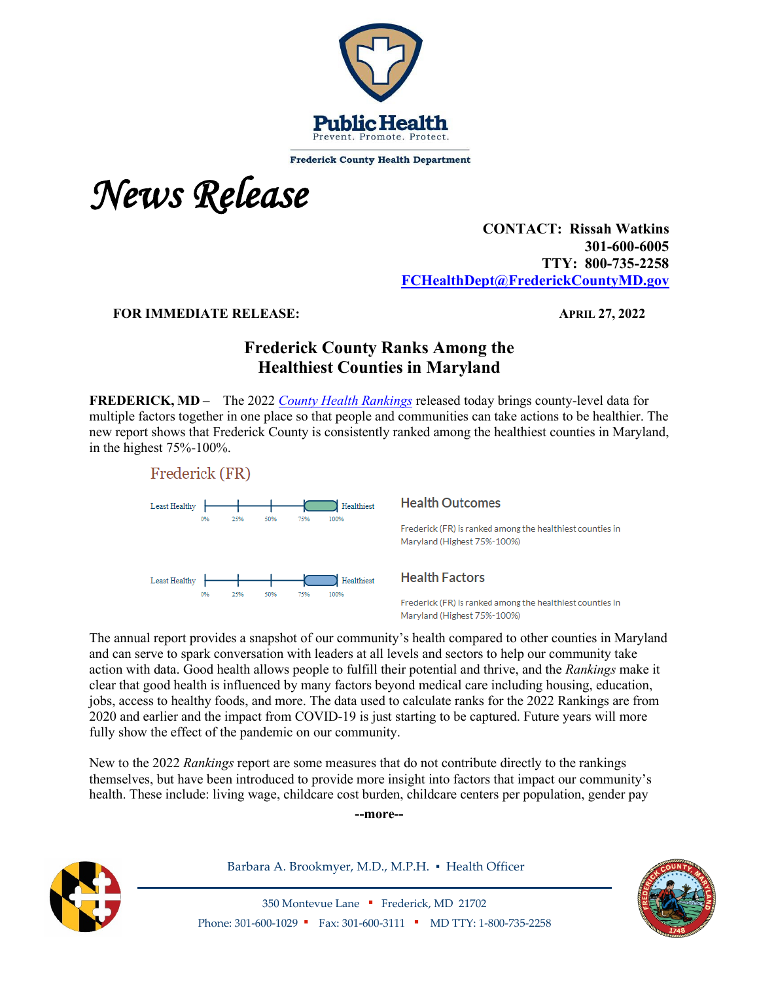

**Frederick County Health Department** 

*News Release* 

## **CONTACT: Rissah Watkins 301-600-6005 TTY: 800-735-2258 [FCHealthDept@FrederickCountyMD.gov](mailto:FCHealthDept@FrederickCountyMD.gov)**

**FOR IMMEDIATE RELEASE:** APRIL 27, 2022

# **Frederick County Ranks Among the Healthiest Counties in Maryland**

**FREDERICK, MD –** The 2022 *[County Health Rankings](https://www.countyhealthrankings.org/)* released today brings county-level data for multiple factors together in one place so that people and communities can take actions to be healthier. The new report shows that Frederick County is consistently ranked among the healthiest counties in Maryland, in the highest 75%-100%.



#### **Health Outcomes**

Frederick (FR) is ranked among the healthiest counties in Maryland (Highest 75%-100%)

### **Health Factors**

Frederick (FR) is ranked among the healthiest counties in Maryland (Highest 75%-100%)

The annual report provides a snapshot of our community's health compared to other counties in Maryland and can serve to spark conversation with leaders at all levels and sectors to help our community take action with data. Good health allows people to fulfill their potential and thrive, and the *Rankings* make it clear that good health is influenced by many factors beyond medical care including housing, education, jobs, access to healthy foods, and more. The data used to calculate ranks for the 2022 Rankings are from 2020 and earlier and the impact from COVID-19 is just starting to be captured. Future years will more fully show the effect of the pandemic on our community.

New to the 2022 *Rankings* report are some measures that do not contribute directly to the rankings themselves, but have been introduced to provide more insight into factors that impact our community's health. These include: living wage, childcare cost burden, childcare centers per population, gender pay

**--more--**



Barbara A. Brookmyer, M.D., M.P.H. · Health Officer